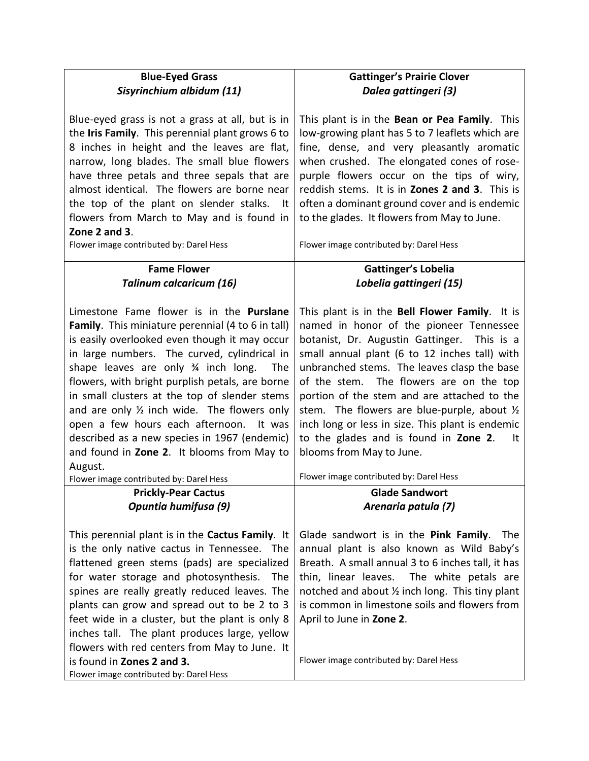| <b>Blue-Eyed Grass</b><br>Sisyrinchium albidum (11)                                                                                                                                                                                                                                                                                                                                                                                                                                                                                                                                                    | <b>Gattinger's Prairie Clover</b><br>Dalea gattingeri (3)                                                                                                                                                                                                                                                                                                                                                                                                                                                                                                                 |
|--------------------------------------------------------------------------------------------------------------------------------------------------------------------------------------------------------------------------------------------------------------------------------------------------------------------------------------------------------------------------------------------------------------------------------------------------------------------------------------------------------------------------------------------------------------------------------------------------------|---------------------------------------------------------------------------------------------------------------------------------------------------------------------------------------------------------------------------------------------------------------------------------------------------------------------------------------------------------------------------------------------------------------------------------------------------------------------------------------------------------------------------------------------------------------------------|
| Blue-eyed grass is not a grass at all, but is in<br>the Iris Family. This perennial plant grows 6 to<br>8 inches in height and the leaves are flat,<br>narrow, long blades. The small blue flowers<br>have three petals and three sepals that are<br>almost identical. The flowers are borne near<br>the top of the plant on slender stalks.<br>- It<br>flowers from March to May and is found in<br>Zone 2 and 3.<br>Flower image contributed by: Darel Hess                                                                                                                                          | This plant is in the Bean or Pea Family. This<br>low-growing plant has 5 to 7 leaflets which are<br>fine, dense, and very pleasantly aromatic<br>when crushed. The elongated cones of rose-<br>purple flowers occur on the tips of wiry,<br>reddish stems. It is in <b>Zones 2 and 3</b> . This is<br>often a dominant ground cover and is endemic<br>to the glades. It flowers from May to June.<br>Flower image contributed by: Darel Hess                                                                                                                              |
| <b>Fame Flower</b>                                                                                                                                                                                                                                                                                                                                                                                                                                                                                                                                                                                     | <b>Gattinger's Lobelia</b>                                                                                                                                                                                                                                                                                                                                                                                                                                                                                                                                                |
| <b>Talinum calcaricum (16)</b>                                                                                                                                                                                                                                                                                                                                                                                                                                                                                                                                                                         | Lobelia gattingeri (15)                                                                                                                                                                                                                                                                                                                                                                                                                                                                                                                                                   |
| Limestone Fame flower is in the Purslane<br>Family. This miniature perennial (4 to 6 in tall)<br>is easily overlooked even though it may occur<br>in large numbers. The curved, cylindrical in<br>shape leaves are only 34 inch long. The<br>flowers, with bright purplish petals, are borne<br>in small clusters at the top of slender stems<br>and are only $\frac{1}{2}$ inch wide. The flowers only<br>open a few hours each afternoon. It was<br>described as a new species in 1967 (endemic)<br>and found in Zone 2. It blooms from May to<br>August.<br>Flower image contributed by: Darel Hess | This plant is in the Bell Flower Family. It is<br>named in honor of the pioneer Tennessee<br>botanist, Dr. Augustin Gattinger.<br>This is a<br>small annual plant (6 to 12 inches tall) with<br>unbranched stems. The leaves clasp the base<br>of the stem. The flowers are on the top<br>portion of the stem and are attached to the<br>stem. The flowers are blue-purple, about $\frac{1}{2}$<br>inch long or less in size. This plant is endemic<br>to the glades and is found in Zone 2.<br>It<br>blooms from May to June.<br>Flower image contributed by: Darel Hess |
| <b>Prickly-Pear Cactus</b>                                                                                                                                                                                                                                                                                                                                                                                                                                                                                                                                                                             | <b>Glade Sandwort</b>                                                                                                                                                                                                                                                                                                                                                                                                                                                                                                                                                     |
| Opuntia humifusa (9)                                                                                                                                                                                                                                                                                                                                                                                                                                                                                                                                                                                   | Arenaria patula (7)                                                                                                                                                                                                                                                                                                                                                                                                                                                                                                                                                       |
| This perennial plant is in the <b>Cactus Family</b> . It<br>is the only native cactus in Tennessee. The<br>flattened green stems (pads) are specialized<br>for water storage and photosynthesis.<br><b>The</b><br>spines are really greatly reduced leaves. The<br>plants can grow and spread out to be 2 to 3<br>feet wide in a cluster, but the plant is only 8<br>inches tall. The plant produces large, yellow<br>flowers with red centers from May to June. It<br>is found in Zones 2 and 3.<br>Flower image contributed by: Darel Hess                                                           | Glade sandwort is in the Pink Family.<br>The<br>annual plant is also known as Wild Baby's<br>Breath. A small annual 3 to 6 inches tall, it has<br>thin, linear leaves.<br>The white petals are<br>notched and about 1/2 inch long. This tiny plant<br>is common in limestone soils and flowers from<br>April to June in Zone 2.<br>Flower image contributed by: Darel Hess                                                                                                                                                                                                |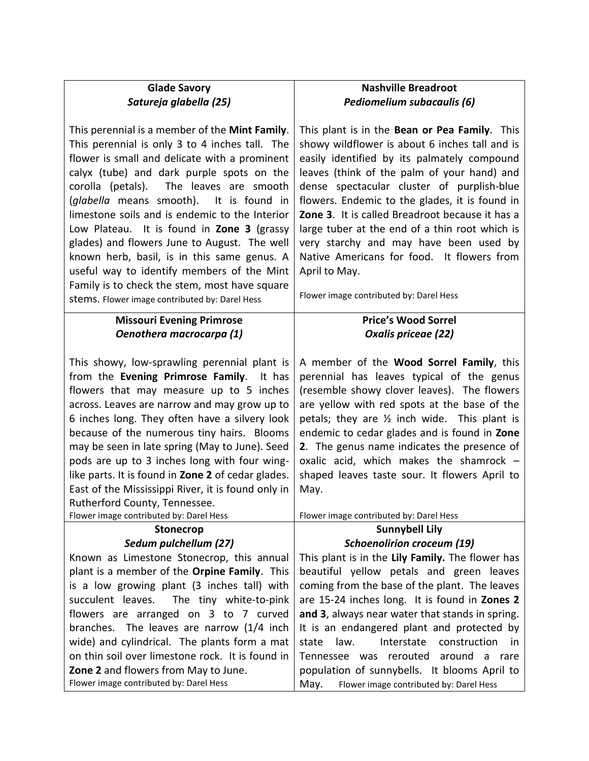| <b>Glade Savory</b>                                                                                                                                                                                                                                                                                                                                                                                                                                                                                                                                                                                                                          | <b>Nashville Breadroot</b>                                                                                                                                                                                                                                                                                                                                                                                                                                                                                                                             |
|----------------------------------------------------------------------------------------------------------------------------------------------------------------------------------------------------------------------------------------------------------------------------------------------------------------------------------------------------------------------------------------------------------------------------------------------------------------------------------------------------------------------------------------------------------------------------------------------------------------------------------------------|--------------------------------------------------------------------------------------------------------------------------------------------------------------------------------------------------------------------------------------------------------------------------------------------------------------------------------------------------------------------------------------------------------------------------------------------------------------------------------------------------------------------------------------------------------|
| Satureja glabella (25)                                                                                                                                                                                                                                                                                                                                                                                                                                                                                                                                                                                                                       | Pediomelium subacaulis (6)                                                                                                                                                                                                                                                                                                                                                                                                                                                                                                                             |
|                                                                                                                                                                                                                                                                                                                                                                                                                                                                                                                                                                                                                                              |                                                                                                                                                                                                                                                                                                                                                                                                                                                                                                                                                        |
| This perennial is a member of the <b>Mint Family</b> .<br>This perennial is only 3 to 4 inches tall. The<br>flower is small and delicate with a prominent<br>calyx (tube) and dark purple spots on the<br>corolla (petals). The leaves are smooth<br>(glabella means smooth). It is found in<br>limestone soils and is endemic to the Interior<br>Low Plateau. It is found in Zone 3 (grassy<br>glades) and flowers June to August. The well<br>known herb, basil, is in this same genus. A<br>useful way to identify members of the Mint<br>Family is to check the stem, most have square<br>stems. Flower image contributed by: Darel Hess | This plant is in the Bean or Pea Family. This<br>showy wildflower is about 6 inches tall and is<br>easily identified by its palmately compound<br>leaves (think of the palm of your hand) and<br>dense spectacular cluster of purplish-blue<br>flowers. Endemic to the glades, it is found in<br>Zone 3. It is called Breadroot because it has a<br>large tuber at the end of a thin root which is<br>very starchy and may have been used by<br>Native Americans for food. It flowers from<br>April to May.<br>Flower image contributed by: Darel Hess |
| <b>Missouri Evening Primrose</b>                                                                                                                                                                                                                                                                                                                                                                                                                                                                                                                                                                                                             | <b>Price's Wood Sorrel</b>                                                                                                                                                                                                                                                                                                                                                                                                                                                                                                                             |
| Oenothera macrocarpa (1)                                                                                                                                                                                                                                                                                                                                                                                                                                                                                                                                                                                                                     | Oxalis priceae (22)                                                                                                                                                                                                                                                                                                                                                                                                                                                                                                                                    |
|                                                                                                                                                                                                                                                                                                                                                                                                                                                                                                                                                                                                                                              |                                                                                                                                                                                                                                                                                                                                                                                                                                                                                                                                                        |
| This showy, low-sprawling perennial plant is<br>from the Evening Primrose Family. It has<br>flowers that may measure up to 5 inches<br>across. Leaves are narrow and may grow up to<br>6 inches long. They often have a silvery look<br>because of the numerous tiny hairs. Blooms<br>may be seen in late spring (May to June). Seed<br>pods are up to 3 inches long with four wing-<br>like parts. It is found in Zone 2 of cedar glades.<br>East of the Mississippi River, it is found only in<br>Rutherford County, Tennessee.<br>Flower image contributed by: Darel Hess                                                                 | A member of the Wood Sorrel Family, this<br>perennial has leaves typical of the genus<br>(resemble showy clover leaves). The flowers<br>are yellow with red spots at the base of the<br>petals; they are $\frac{1}{2}$ inch wide. This plant is<br>endemic to cedar glades and is found in Zone<br>2. The genus name indicates the presence of<br>oxalic acid, which makes the shamrock -<br>shaped leaves taste sour. It flowers April to<br>May.<br>Flower image contributed by: Darel Hess                                                          |
| <b>Stonecrop</b>                                                                                                                                                                                                                                                                                                                                                                                                                                                                                                                                                                                                                             | <b>Sunnybell Lily</b>                                                                                                                                                                                                                                                                                                                                                                                                                                                                                                                                  |
| Sedum pulchellum (27)                                                                                                                                                                                                                                                                                                                                                                                                                                                                                                                                                                                                                        | <b>Schoenolirion croceum (19)</b>                                                                                                                                                                                                                                                                                                                                                                                                                                                                                                                      |
| Known as Limestone Stonecrop, this annual                                                                                                                                                                                                                                                                                                                                                                                                                                                                                                                                                                                                    | This plant is in the Lily Family. The flower has                                                                                                                                                                                                                                                                                                                                                                                                                                                                                                       |
| plant is a member of the Orpine Family. This                                                                                                                                                                                                                                                                                                                                                                                                                                                                                                                                                                                                 | beautiful yellow petals and green leaves                                                                                                                                                                                                                                                                                                                                                                                                                                                                                                               |
| is a low growing plant (3 inches tall) with                                                                                                                                                                                                                                                                                                                                                                                                                                                                                                                                                                                                  | coming from the base of the plant. The leaves                                                                                                                                                                                                                                                                                                                                                                                                                                                                                                          |
| succulent leaves. The tiny white-to-pink                                                                                                                                                                                                                                                                                                                                                                                                                                                                                                                                                                                                     | are 15-24 inches long. It is found in Zones 2                                                                                                                                                                                                                                                                                                                                                                                                                                                                                                          |
| flowers are arranged on 3 to 7 curved                                                                                                                                                                                                                                                                                                                                                                                                                                                                                                                                                                                                        | and 3, always near water that stands in spring.                                                                                                                                                                                                                                                                                                                                                                                                                                                                                                        |
| branches. The leaves are narrow (1/4 inch                                                                                                                                                                                                                                                                                                                                                                                                                                                                                                                                                                                                    | It is an endangered plant and protected by                                                                                                                                                                                                                                                                                                                                                                                                                                                                                                             |
| wide) and cylindrical. The plants form a mat                                                                                                                                                                                                                                                                                                                                                                                                                                                                                                                                                                                                 | law.<br>Interstate<br>construction<br>state<br>-in                                                                                                                                                                                                                                                                                                                                                                                                                                                                                                     |
| on thin soil over limestone rock. It is found in                                                                                                                                                                                                                                                                                                                                                                                                                                                                                                                                                                                             | Tennessee was rerouted<br>around a rare                                                                                                                                                                                                                                                                                                                                                                                                                                                                                                                |
| Zone 2 and flowers from May to June.<br>Flower image contributed by: Darel Hess                                                                                                                                                                                                                                                                                                                                                                                                                                                                                                                                                              | population of sunnybells. It blooms April to<br>May.<br>Flower image contributed by: Darel Hess                                                                                                                                                                                                                                                                                                                                                                                                                                                        |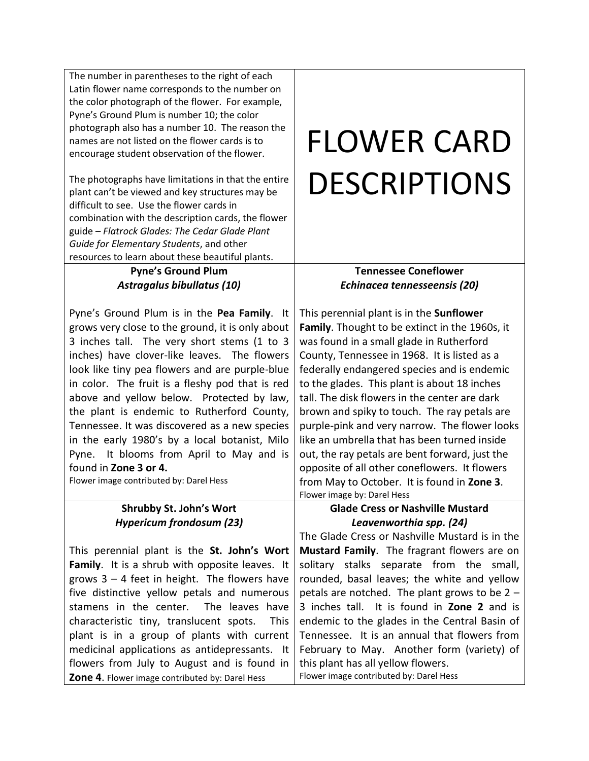The number in parentheses to the right of each Latin flower name corresponds to the number on the color photograph of the flower. For example, Pyne's Ground Plum is number 10; the color photograph also has a number 10. The reason the names are not listed on the flower cards is to encourage student observation of the flower.

The photographs have limitations in that the entire plant can't be viewed and key structures may be difficult to see. Use the flower cards in combination with the description cards, the flower guide – *Flatrock Glades: The Cedar Glade Plant Guide for Elementary Students*, and other resources to learn about these beautiful plants.

### **Pyne's Ground Plum** *Astragalus bibullatus (10)*

Pyne's Ground Plum is in the **Pea Family**. It grows very close to the ground, it is only about 3 inches tall. The very short stems (1 to 3 inches) have clover-like leaves. The flowers look like tiny pea flowers and are purple-blue in color. The fruit is a fleshy pod that is red above and yellow below. Protected by law, the plant is endemic to Rutherford County, Tennessee. It was discovered as a new species in the early 1980's by a local botanist, Milo Pyne. It blooms from April to May and is found in **Zone 3 or 4.**

Flower image contributed by: Darel Hess

## **Shrubby St. John's Wort** *Hypericum frondosum (23)*

This perennial plant is the **St. John's Wort Family**. It is a shrub with opposite leaves. It grows 3 – 4 feet in height. The flowers have five distinctive yellow petals and numerous stamens in the center. The leaves have characteristic tiny, translucent spots. This plant is in a group of plants with current medicinal applications as antidepressants. It flowers from July to August and is found in **Zone 4**. Flower image contributed by: Darel Hess

# FLOWER CARD DESCRIPTIONS

### **Tennessee Coneflower** *Echinacea tennesseensis (20)*

This perennial plant is in the **Sunflower Family**. Thought to be extinct in the 1960s, it was found in a small glade in Rutherford County, Tennessee in 1968. It is listed as a federally endangered species and is endemic to the glades. This plant is about 18 inches tall. The disk flowers in the center are dark brown and spiky to touch. The ray petals are purple-pink and very narrow. The flower looks like an umbrella that has been turned inside out, the ray petals are bent forward, just the opposite of all other coneflowers. It flowers from May to October. It is found in **Zone 3**. Flower image by: Darel Hess

#### **Glade Cress or Nashville Mustard** *Leavenworthia spp. (24)*

The Glade Cress or Nashville Mustard is in the **Mustard Family**. The fragrant flowers are on solitary stalks separate from the small, rounded, basal leaves; the white and yellow petals are notched. The plant grows to be 2 – 3 inches tall. It is found in **Zone 2** and is endemic to the glades in the Central Basin of Tennessee. It is an annual that flowers from February to May. Another form (variety) of this plant has all yellow flowers. Flower image contributed by: Darel Hess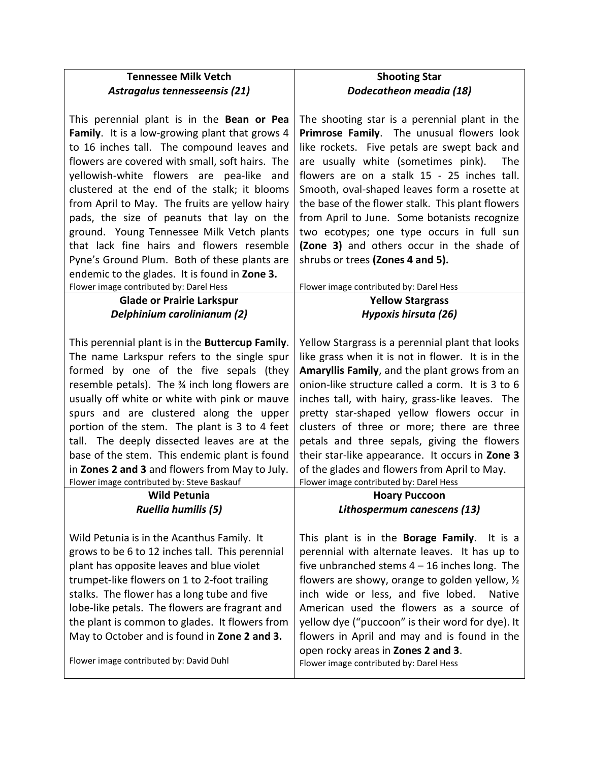| <b>Tennessee Milk Vetch</b>                                                                                                                                                                                                                  | <b>Shooting Star</b>                                                                                                                                                                                                                           |
|----------------------------------------------------------------------------------------------------------------------------------------------------------------------------------------------------------------------------------------------|------------------------------------------------------------------------------------------------------------------------------------------------------------------------------------------------------------------------------------------------|
| Astragalus tennesseensis (21)                                                                                                                                                                                                                | Dodecatheon meadia (18)                                                                                                                                                                                                                        |
|                                                                                                                                                                                                                                              |                                                                                                                                                                                                                                                |
| This perennial plant is in the Bean or Pea<br>Family. It is a low-growing plant that grows 4<br>to 16 inches tall. The compound leaves and<br>flowers are covered with small, soft hairs. The<br>yellowish-white flowers are pea-like<br>and | The shooting star is a perennial plant in the<br>Primrose Family. The unusual flowers look<br>like rockets. Five petals are swept back and<br>are usually white (sometimes pink).<br><b>The</b><br>flowers are on a stalk 15 - 25 inches tall. |
| clustered at the end of the stalk; it blooms                                                                                                                                                                                                 | Smooth, oval-shaped leaves form a rosette at                                                                                                                                                                                                   |
| from April to May. The fruits are yellow hairy<br>pads, the size of peanuts that lay on the                                                                                                                                                  | the base of the flower stalk. This plant flowers<br>from April to June. Some botanists recognize                                                                                                                                               |
| ground. Young Tennessee Milk Vetch plants                                                                                                                                                                                                    | two ecotypes; one type occurs in full sun                                                                                                                                                                                                      |
| that lack fine hairs and flowers resemble                                                                                                                                                                                                    | (Zone 3) and others occur in the shade of                                                                                                                                                                                                      |
| Pyne's Ground Plum. Both of these plants are                                                                                                                                                                                                 | shrubs or trees (Zones 4 and 5).                                                                                                                                                                                                               |
| endemic to the glades. It is found in Zone 3.                                                                                                                                                                                                |                                                                                                                                                                                                                                                |
| Flower image contributed by: Darel Hess                                                                                                                                                                                                      | Flower image contributed by: Darel Hess                                                                                                                                                                                                        |
| <b>Glade or Prairie Larkspur</b>                                                                                                                                                                                                             | <b>Yellow Stargrass</b>                                                                                                                                                                                                                        |
| Delphinium carolinianum (2)                                                                                                                                                                                                                  | Hypoxis hirsuta (26)                                                                                                                                                                                                                           |
|                                                                                                                                                                                                                                              |                                                                                                                                                                                                                                                |
| This perennial plant is in the <b>Buttercup Family</b> .                                                                                                                                                                                     | Yellow Stargrass is a perennial plant that looks                                                                                                                                                                                               |
| The name Larkspur refers to the single spur                                                                                                                                                                                                  | like grass when it is not in flower. It is in the                                                                                                                                                                                              |
| formed by one of the five sepals (they                                                                                                                                                                                                       | Amaryllis Family, and the plant grows from an                                                                                                                                                                                                  |
| resemble petals). The 34 inch long flowers are                                                                                                                                                                                               | onion-like structure called a corm. It is 3 to 6                                                                                                                                                                                               |
| usually off white or white with pink or mauve                                                                                                                                                                                                | inches tall, with hairy, grass-like leaves. The                                                                                                                                                                                                |
| spurs and are clustered along the upper                                                                                                                                                                                                      | pretty star-shaped yellow flowers occur in                                                                                                                                                                                                     |
| portion of the stem. The plant is 3 to 4 feet                                                                                                                                                                                                | clusters of three or more; there are three                                                                                                                                                                                                     |
| tall. The deeply dissected leaves are at the                                                                                                                                                                                                 | petals and three sepals, giving the flowers                                                                                                                                                                                                    |
| base of the stem. This endemic plant is found                                                                                                                                                                                                | their star-like appearance. It occurs in Zone 3                                                                                                                                                                                                |
| in Zones 2 and 3 and flowers from May to July.                                                                                                                                                                                               | of the glades and flowers from April to May.                                                                                                                                                                                                   |
| Flower image contributed by: Steve Baskauf                                                                                                                                                                                                   | Flower image contributed by: Darel Hess                                                                                                                                                                                                        |
| <b>Wild Petunia</b>                                                                                                                                                                                                                          | <b>Hoary Puccoon</b>                                                                                                                                                                                                                           |
| <b>Ruellia humilis (5)</b>                                                                                                                                                                                                                   | Lithospermum canescens (13)                                                                                                                                                                                                                    |
|                                                                                                                                                                                                                                              |                                                                                                                                                                                                                                                |
| Wild Petunia is in the Acanthus Family. It                                                                                                                                                                                                   | This plant is in the <b>Borage Family</b> .<br>It is a                                                                                                                                                                                         |
| grows to be 6 to 12 inches tall. This perennial                                                                                                                                                                                              | perennial with alternate leaves. It has up to                                                                                                                                                                                                  |
| plant has opposite leaves and blue violet                                                                                                                                                                                                    | five unbranched stems $4 - 16$ inches long. The                                                                                                                                                                                                |
| trumpet-like flowers on 1 to 2-foot trailing                                                                                                                                                                                                 | flowers are showy, orange to golden yellow, 1/2                                                                                                                                                                                                |
| stalks. The flower has a long tube and five                                                                                                                                                                                                  | inch wide or less, and five lobed.<br><b>Native</b>                                                                                                                                                                                            |
| lobe-like petals. The flowers are fragrant and                                                                                                                                                                                               | American used the flowers as a source of                                                                                                                                                                                                       |
| the plant is common to glades. It flowers from                                                                                                                                                                                               | yellow dye ("puccoon" is their word for dye). It                                                                                                                                                                                               |
| May to October and is found in Zone 2 and 3.                                                                                                                                                                                                 | flowers in April and may and is found in the                                                                                                                                                                                                   |
|                                                                                                                                                                                                                                              | open rocky areas in Zones 2 and 3.                                                                                                                                                                                                             |
| Flower image contributed by: David Duhl                                                                                                                                                                                                      | Flower image contributed by: Darel Hess                                                                                                                                                                                                        |
|                                                                                                                                                                                                                                              |                                                                                                                                                                                                                                                |